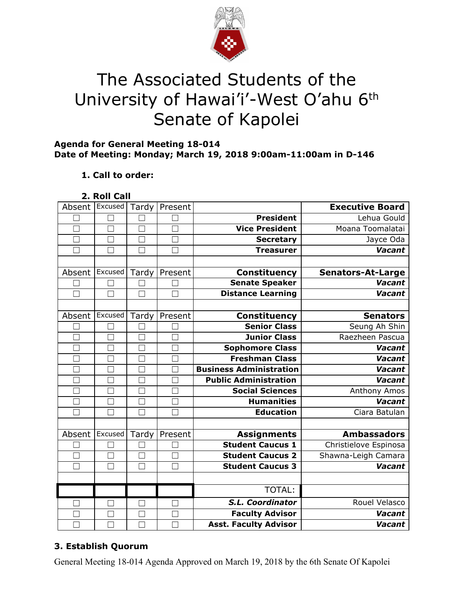

# The Associated Students of the University of Hawai'i'-West O'ahu 6<sup>th</sup> Senate of Kapolei

#### **Agenda for General Meeting 18-014 Date of Meeting: Monday; March 19, 2018 9:00am-11:00am in D-146**

# **1. Call to order:**

| $\blacksquare$ Roll ( $\thicksim$ | all |
|-----------------------------------|-----|
|                                   |     |

| Absent         | Excused                  | Tardy  | Present |                                | <b>Executive Board</b>   |
|----------------|--------------------------|--------|---------|--------------------------------|--------------------------|
|                |                          |        |         | <b>President</b>               | Lehua Gould              |
|                | П                        | $\Box$ |         | <b>Vice President</b>          | Moana Toomalatai         |
|                |                          |        |         | <b>Secretary</b>               | Jayce Oda                |
| $\Box$         | ٦                        | □      |         | <b>Treasurer</b>               | <b>Vacant</b>            |
|                |                          |        |         |                                |                          |
| Absent         | Excused                  | Tardy  | Present | <b>Constituency</b>            | <b>Senators-At-Large</b> |
|                |                          |        |         | <b>Senate Speaker</b>          | Vacant                   |
|                | ×                        | ┑      |         | <b>Distance Learning</b>       | Vacant                   |
|                |                          |        |         |                                |                          |
| Absent         | Excused                  | Tardy  | Present | <b>Constituency</b>            | <b>Senators</b>          |
|                |                          |        |         | <b>Senior Class</b>            | Seung Ah Shin            |
|                |                          |        |         | <b>Junior Class</b>            | Raezheen Pascua          |
|                |                          |        |         | <b>Sophomore Class</b>         | Vacant                   |
|                | Π                        | П      |         | <b>Freshman Class</b>          | <b>Vacant</b>            |
|                |                          |        |         | <b>Business Administration</b> | Vacant                   |
| П              |                          | ┑      |         | <b>Public Administration</b>   | <b>Vacant</b>            |
| $\blacksquare$ | ×                        | ×      |         | <b>Social Sciences</b>         | Anthony Amos             |
| П              | $\overline{\phantom{0}}$ | $\Box$ |         | <b>Humanities</b>              | Vacant                   |
| $\blacksquare$ |                          | ٦      |         | <b>Education</b>               | Ciara Batulan            |
|                |                          |        |         |                                |                          |
| Absent         | Excused                  | Tardy  | Present | <b>Assignments</b>             | <b>Ambassadors</b>       |
|                |                          |        |         | <b>Student Caucus 1</b>        | Christielove Espinosa    |
|                | ┑                        | ٦      |         | <b>Student Caucus 2</b>        | Shawna-Leigh Camara      |
|                | ×                        | Г      |         | <b>Student Caucus 3</b>        | <b>Vacant</b>            |
|                |                          |        |         |                                |                          |
|                |                          |        |         | TOTAL:                         |                          |
|                | ×                        |        |         | S.L. Coordinator               | Rouel Velasco            |
|                |                          |        |         | <b>Faculty Advisor</b>         | <b>Vacant</b>            |
|                |                          |        |         | <b>Asst. Faculty Advisor</b>   | Vacant                   |

# **3. Establish Quorum**

General Meeting 18-014 Agenda Approved on March 19, 2018 by the 6th Senate Of Kapolei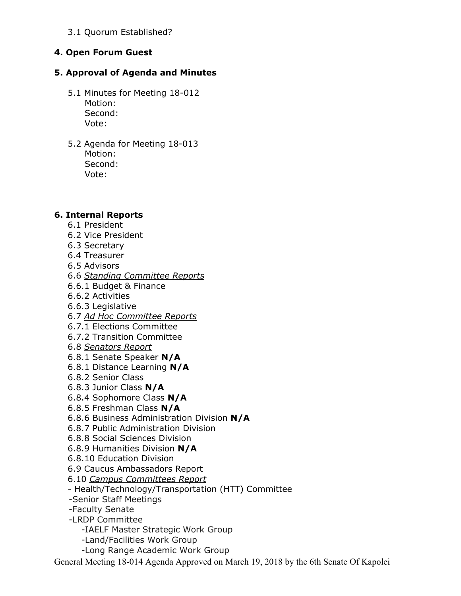3.1 Quorum Established?

## **4. Open Forum Guest**

## **5. Approval of Agenda and Minutes**

- 5.1 Minutes for Meeting 18-012 Motion: Second: Vote:
- 5.2 Agenda for Meeting 18-013 Motion: Second: Vote:

#### **6. Internal Reports**

- 6.1 President
- 6.2 Vice President
- 6.3 Secretary
- 6.4 Treasurer
- 6.5 Advisors
- 6.6 *Standing Committee Reports*
- 6.6.1 Budget & Finance
- 6.6.2 Activities
- 6.6.3 Legislative
- 6.7 *Ad Hoc Committee Reports*
- 6.7.1 Elections Committee
- 6.7.2 Transition Committee
- 6.8 *Senators Report*
- 6.8.1 Senate Speaker **N/A**
- 6.8.1 Distance Learning **N/A**
- 6.8.2 Senior Class
- 6.8.3 Junior Class **N/A**
- 6.8.4 Sophomore Class **N/A**
- 6.8.5 Freshman Class **N/A**
- 6.8.6 Business Administration Division **N/A**
- 6.8.7 Public Administration Division
- 6.8.8 Social Sciences Division
- 6.8.9 Humanities Division **N/A**
- 6.8.10 Education Division
- 6.9 Caucus Ambassadors Report
- 6.10 *Campus Committees Report*
- Health/Technology/Transportation (HTT) Committee
- -Senior Staff Meetings
- -Faculty Senate
- -LRDP Committee
	- -IAELF Master Strategic Work Group
	- -Land/Facilities Work Group
	- -Long Range Academic Work Group

General Meeting 18-014 Agenda Approved on March 19, 2018 by the 6th Senate Of Kapolei